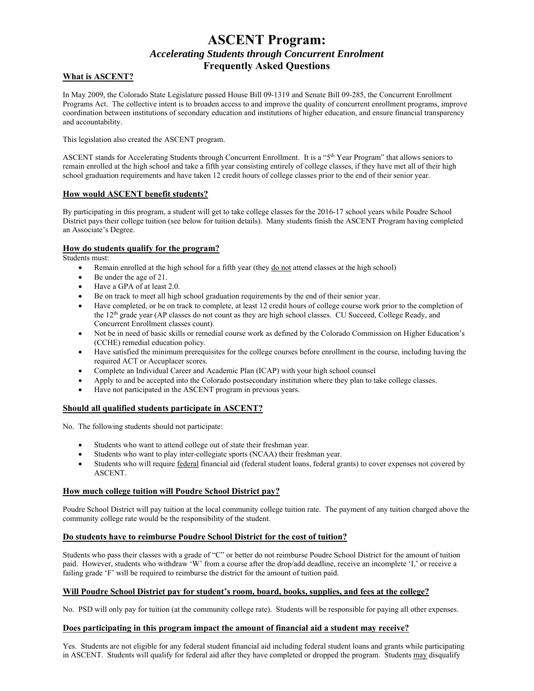# **ASCENT Program:**  *Accelerating Students through Concurrent Enrolment* **Frequently Asked Questions**

# **What is ASCENT?**

In May 2009, the Colorado State Legislature passed House Bill 09-1319 and Senate Bill 09-285, the Concurrent Enrollment Programs Act. The collective intent is to broaden access to and improve the quality of concurrent enrollment programs, improve coordination between institutions of secondary education and institutions of higher education, and ensure financial transparency and accountability.

This legislation also created the ASCENT program.

ASCENT stands for Accelerating Students through Concurrent Enrollment. It is a "5<sup>th</sup> Year Program" that allows seniors to remain enrolled at the high school and take a fifth year consisting entirely of college classes, if they have met all of their high school graduation requirements and have taken 12 credit hours of college classes prior to the end of their senior year.

## **How would ASCENT benefit students?**

By participating in this program, a student will get to take college classes for the 2016-17 school years while Poudre School District pays their college tuition (see below for tuition details). Many students finish the ASCENT Program having completed an Associate's Degree.

# **How do students qualify for the program?**

Students must:

- Remain enrolled at the high school for a fifth year (they <u>do not</u> attend classes at the high school)
- Be under the age of 21.
- Have a GPA of at least 2.0.
- Be on track to meet all high school graduation requirements by the end of their senior year.
- Have completed, or be on track to complete, at least 12 credit hours of college course work prior to the completion of the 12th grade year (AP classes do not count as they are high school classes. CU Succeed, College Ready, and Concurrent Enrollment classes count).
- Not be in need of basic skills or remedial course work as defined by the Colorado Commission on Higher Education's (CCHE) remedial education policy.
- Have satisfied the minimum prerequisites for the college courses before enrollment in the course, including having the required ACT or Accuplacer scores.
- Complete an Individual Career and Academic Plan (ICAP) with your high school counsel
- Apply to and be accepted into the Colorado postsecondary institution where they plan to take college classes.
- Have not participated in the ASCENT program in previous years.

# **Should all qualified students participate in ASCENT?**

No. The following students should not participate:

- Students who want to attend college out of state their freshman year.
- Students who want to play inter-collegiate sports (NCAA) their freshman year.
- Students who will require federal financial aid (federal student loans, federal grants) to cover expenses not covered by ASCENT.

## **How much college tuition will Poudre School District pay?**

Poudre School District will pay tuition at the local community college tuition rate. The payment of any tuition charged above the community college rate would be the responsibility of the student.

# **Do students have to reimburse Poudre School District for the cost of tuition?**

Students who pass their classes with a grade of "C" or better do not reimburse Poudre School District for the amount of tuition paid. However, students who withdraw 'W' from a course after the drop/add deadline, receive an incomplete 'I,' or receive a failing grade 'F' will be required to reimburse the district for the amount of tuition paid.

## **Will Poudre School District pay for student's room, board, books, supplies, and fees at the college?**

No. PSD will only pay for tuition (at the community college rate). Students will be responsible for paying all other expenses.

## **Does participating in this program impact the amount of financial aid a student may receive?**

Yes. Students are not eligible for any federal student financial aid including federal student loans and grants while participating in ASCENT. Students will qualify for federal aid after they have completed or dropped the program. Students may disqualify